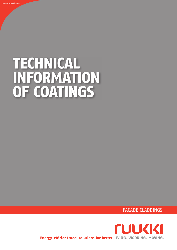# **TECHNICAL INFORMATION OF COATINGS**

FACADE CLADDINGS

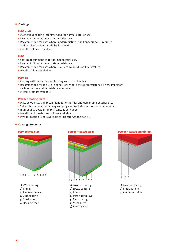## **• Coatings**

#### **PVDF matt**

- **•** Matt colour coating recommended for normal exterior use.
- **•** Excellent UV radiation and stain resistance.
- **•** Recommended for uses where modern distinguished appearance is required and excellent colour durability is valued.
- **•** Metallic colours available.

#### **PVDF**

- **•** Coating recommended for normal exterior use.
- **•** Excellent UV radiation and stain resistance.
- Recommended for uses where excellent colour durability is valued.
- **•** Metallic colours available.

#### **PVDF HB**

- **•** Coating with thicker primer for very corrosive climates.
- Recommended for the use in conditions where corrosion resistance is very important, such as marine and industrial environments.
- **•** Metallic colours available.

#### **Powder coating matt**

- **•** Matt powder coating recommended for normal and demanding exterior use.
- **•** Substrate can be either epoxy coated galvanized steel or pretreated aluminium.
- High quality powder, UV resistance is very good.
- **•** Metallic and pearlescent colours available.
- **•** Powder coating is not available for Liberta Grande panels.

### **• Coating structures**

#### **PVDF coated steel**



1)  PVDF coating 2) Primer 3) Passivation layer 4) Zinc coating

- 5) Steel sheet
- 6) Backing coat

## **Powder coated steel**



1)  Powder coating 2) Epoxy coating 3) Primer 4) Passivation layer 5) Zinc coating 6) Steel sheet

- 
- 7)  Backing coat





1)  Powder coating 2) Pretreatment 3) Aluminium sheet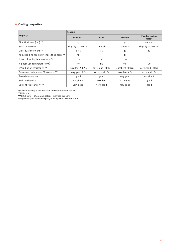# **• Coating properties**

| <b>Property</b>                            | Coating             |                  |                  |                                 |
|--------------------------------------------|---------------------|------------------|------------------|---------------------------------|
|                                            | <b>PVDF matt</b>    | <b>PVDF</b>      | <b>PVDF HB</b>   | <b>Powder coating</b><br>matt * |
| Film thickness $(\mu m)$ **                | 27                  | 27               | 40               | $60 - 90$                       |
| Surface pattern                            | slightly structured | smooth           | smooth           | slightly structured             |
| Gloss (Gardner 60°) **                     | $3 - 5$             | 35               | 35               | 10                              |
| Min. bending radius (T=sheet thickness) ** | 1T                  | 1T               | 1                |                                 |
| Lowest forming temperature (°C)            | $-10$               | $-10$            | $-10$            |                                 |
| Highest use temperature (°C)               | 110                 | 110              | 110              | 90                              |
| UV radiation resistance **                 | excellent / RUV4    | excellent / RUV4 | excellent / RUV4 | very good / RUV4                |
| Corrosion resistance / EN 12944-2 ***      | very good / C3      | very good / C3   | excellent / C4   | excellent / C4                  |
| Scratch resistance                         | good                | good             | very good        | excellent                       |
| Stain resistance                           | excellent           | excellent        | excellent        | good                            |
| Solvent resistance ****                    | very good           | very good        | very good        | good                            |

\*) Powder coating is not available for Liberta Grande panels.

\*\*) EN 10169

\*\*\*) If climate is C5, contact sales or technical support.

\*\*\*\*) White spirit / mineral spirit, rubbing with a smooth cloth